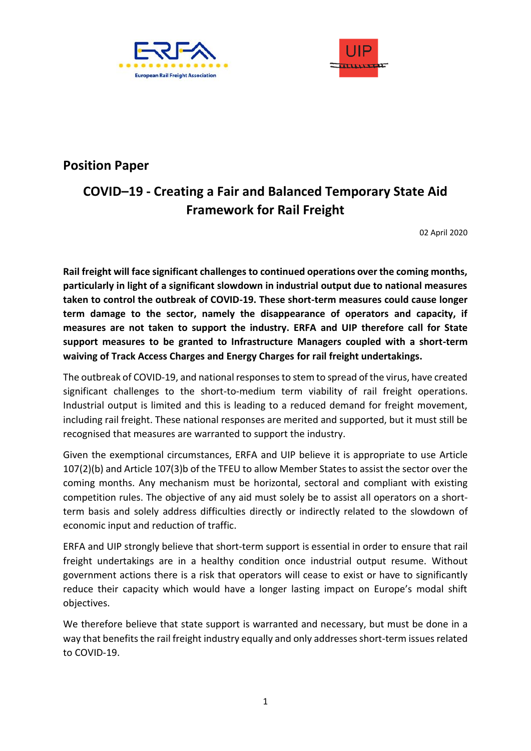



## **Position Paper**

## **COVID–19 - Creating a Fair and Balanced Temporary State Aid Framework for Rail Freight**

02 April 2020

**Rail freight will face significant challenges to continued operations over the coming months, particularly in light of a significant slowdown in industrial output due to national measures taken to control the outbreak of COVID-19. These short-term measures could cause longer term damage to the sector, namely the disappearance of operators and capacity, if measures are not taken to support the industry. ERFA and UIP therefore call for State support measures to be granted to Infrastructure Managers coupled with a short-term waiving of Track Access Charges and Energy Charges for rail freight undertakings.**

The outbreak of COVID-19, and national responses to stem to spread of the virus, have created significant challenges to the short-to-medium term viability of rail freight operations. Industrial output is limited and this is leading to a reduced demand for freight movement, including rail freight. These national responses are merited and supported, but it must still be recognised that measures are warranted to support the industry.

Given the exemptional circumstances, ERFA and UIP believe it is appropriate to use Article 107(2)(b) and Article 107(3)b of the TFEU to allow Member States to assist the sector over the coming months. Any mechanism must be horizontal, sectoral and compliant with existing competition rules. The objective of any aid must solely be to assist all operators on a shortterm basis and solely address difficulties directly or indirectly related to the slowdown of economic input and reduction of traffic.

ERFA and UIP strongly believe that short-term support is essential in order to ensure that rail freight undertakings are in a healthy condition once industrial output resume. Without government actions there is a risk that operators will cease to exist or have to significantly reduce their capacity which would have a longer lasting impact on Europe's modal shift objectives.

We therefore believe that state support is warranted and necessary, but must be done in a way that benefits the rail freight industry equally and only addresses short-term issues related to COVID-19.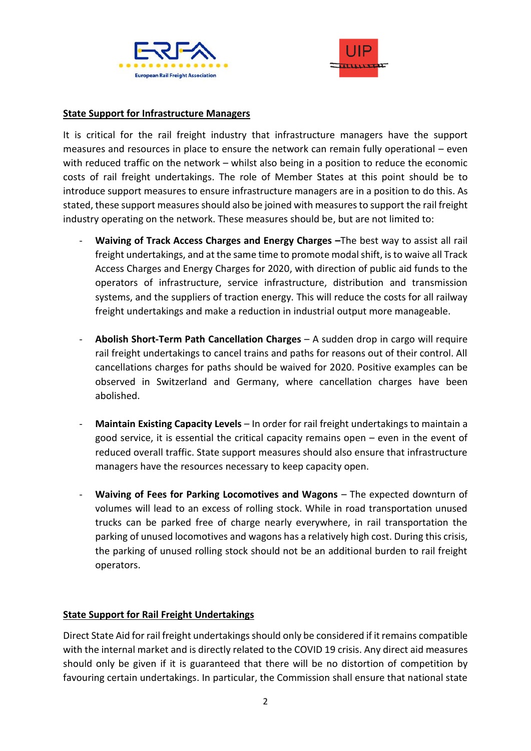



## **State Support for Infrastructure Managers**

It is critical for the rail freight industry that infrastructure managers have the support measures and resources in place to ensure the network can remain fully operational – even with reduced traffic on the network – whilst also being in a position to reduce the economic costs of rail freight undertakings. The role of Member States at this point should be to introduce support measures to ensure infrastructure managers are in a position to do this. As stated, these support measures should also be joined with measures to support the rail freight industry operating on the network. These measures should be, but are not limited to:

- Waiving of Track Access Charges and Energy Charges -The best way to assist all rail freight undertakings, and at the same time to promote modal shift, is to waive all Track Access Charges and Energy Charges for 2020, with direction of public aid funds to the operators of infrastructure, service infrastructure, distribution and transmission systems, and the suppliers of traction energy. This will reduce the costs for all railway freight undertakings and make a reduction in industrial output more manageable.
- **Abolish Short-Term Path Cancellation Charges**  A sudden drop in cargo will require rail freight undertakings to cancel trains and paths for reasons out of their control. All cancellations charges for paths should be waived for 2020. Positive examples can be observed in Switzerland and Germany, where cancellation charges have been abolished.
- **Maintain Existing Capacity Levels**  In order for rail freight undertakings to maintain a good service, it is essential the critical capacity remains open – even in the event of reduced overall traffic. State support measures should also ensure that infrastructure managers have the resources necessary to keep capacity open.
- **Waiving of Fees for Parking Locomotives and Wagons**  The expected downturn of volumes will lead to an excess of rolling stock. While in road transportation unused trucks can be parked free of charge nearly everywhere, in rail transportation the parking of unused locomotives and wagons has a relatively high cost. During this crisis, the parking of unused rolling stock should not be an additional burden to rail freight operators.

## **State Support for Rail Freight Undertakings**

Direct State Aid for rail freight undertakings should only be considered if it remains compatible with the internal market and is directly related to the COVID 19 crisis. Any direct aid measures should only be given if it is guaranteed that there will be no distortion of competition by favouring certain undertakings. In particular, the Commission shall ensure that national state